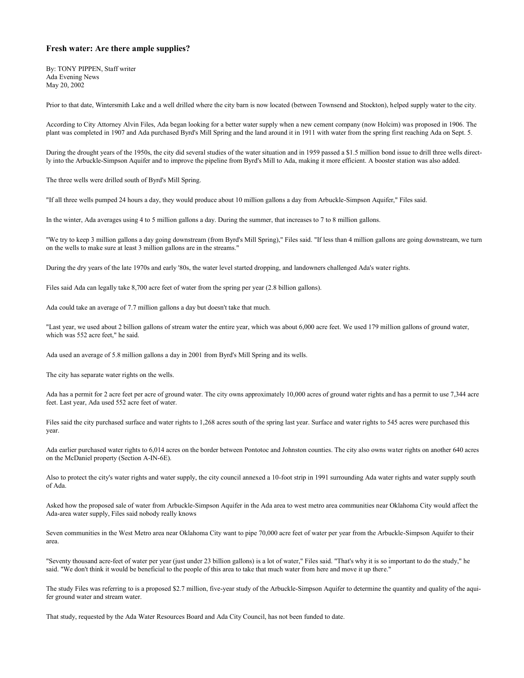## **Fresh water: Are there ample supplies?**

By: TONY PIPPEN, Staff writer Ada Evening News May 20, 2002

Prior to that date, Wintersmith Lake and a well drilled where the city barn is now located (between Townsend and Stockton), helped supply water to the city.

According to City Attorney Alvin Files, Ada began looking for a better water supply when a new cement company (now Holcim) was proposed in 1906. The plant was completed in 1907 and Ada purchased Byrd's Mill Spring and the land around it in 1911 with water from the spring first reaching Ada on Sept. 5.

During the drought years of the 1950s, the city did several studies of the water situation and in 1959 passed a \$1.5 million bond issue to drill three wells directly into the Arbuckle-Simpson Aquifer and to improve the pipeline from Byrd's Mill to Ada, making it more efficient. A booster station was also added.

The three wells were drilled south of Byrd's Mill Spring.

"If all three wells pumped 24 hours a day, they would produce about 10 million gallons a day from Arbuckle-Simpson Aquifer," Files said.

In the winter, Ada averages using 4 to 5 million gallons a day. During the summer, that increases to 7 to 8 million gallons.

"We try to keep 3 million gallons a day going downstream (from Byrd's Mill Spring)," Files said. "If less than 4 million gallons are going downstream, we turn on the wells to make sure at least 3 million gallons are in the streams."

During the dry years of the late 1970s and early '80s, the water level started dropping, and landowners challenged Ada's water rights.

Files said Ada can legally take 8,700 acre feet of water from the spring per year (2.8 billion gallons).

Ada could take an average of 7.7 million gallons a day but doesn't take that much.

"Last year, we used about 2 billion gallons of stream water the entire year, which was about 6,000 acre feet. We used 179 million gallons of ground water, which was 552 acre feet," he said.

Ada used an average of 5.8 million gallons a day in 2001 from Byrd's Mill Spring and its wells.

The city has separate water rights on the wells.

Ada has a permit for 2 acre feet per acre of ground water. The city owns approximately 10,000 acres of ground water rights and has a permit to use 7,344 acre feet. Last year, Ada used 552 acre feet of water.

Files said the city purchased surface and water rights to 1,268 acres south of the spring last year. Surface and water rights to 545 acres were purchased this year.

Ada earlier purchased water rights to 6,014 acres on the border between Pontotoc and Johnston counties. The city also owns water rights on another 640 acres on the McDaniel property (Section A-IN-6E).

Also to protect the city's water rights and water supply, the city council annexed a 10-foot strip in 1991 surrounding Ada water rights and water supply south of Ada.

Asked how the proposed sale of water from Arbuckle-Simpson Aquifer in the Ada area to west metro area communities near Oklahoma City would affect the Ada-area water supply, Files said nobody really knows

Seven communities in the West Metro area near Oklahoma City want to pipe 70,000 acre feet of water per year from the Arbuckle-Simpson Aquifer to their area.

"Seventy thousand acre-feet of water per year (just under 23 billion gallons) is a lot of water," Files said. "That's why it is so important to do the study," he said. "We don't think it would be beneficial to the people of this area to take that much water from here and move it up there."

The study Files was referring to is a proposed \$2.7 million, five-year study of the Arbuckle-Simpson Aquifer to determine the quantity and quality of the aquifer ground water and stream water.

That study, requested by the Ada Water Resources Board and Ada City Council, has not been funded to date.